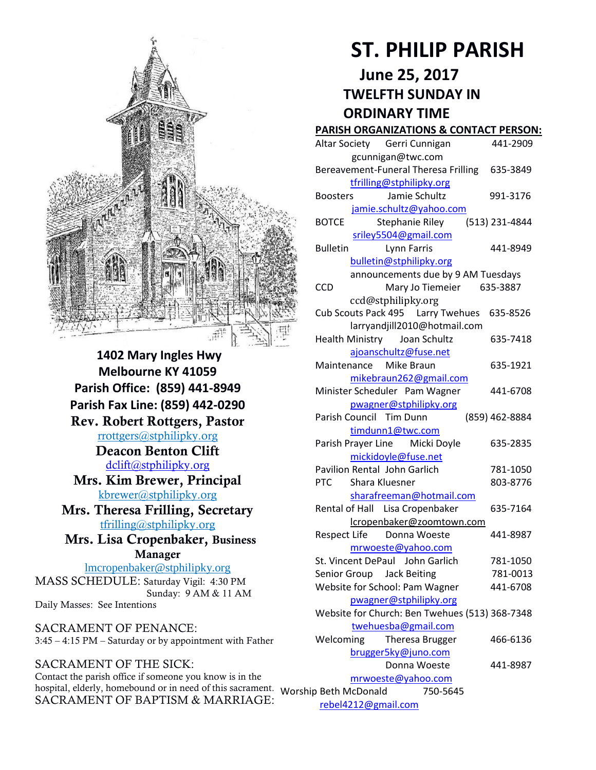

**1402 Mary Ingles Hwy Melbourne KY 41059 Parish Office: (859) 441-8949 Parish Fax Line: (859) 442-0290 Rev. Robert Rottgers, Pastor**  [rrottgers@stphilipky.org](mailto:rrottgers@stphilipky.org) **Deacon Benton Clift**  [dclift@stphilipky.org](mailto:dclift@stphilipky.org) **Mrs. Kim Brewer, Principal**  [kbrewer@stphilipky.org](mailto:kbrewer@stphilipky.org) **Mrs. Theresa Frilling, Secretary**  [tfrilling@stphilipky.org](mailto:tfrilling@stphilipky.org) **Mrs. Lisa Cropenbaker, Business Manager**  lmcropenbaker@stphilipky.org MASS SCHEDULE: Saturday Vigil: 4:30 PM Sunday: 9 AM & 11 AM Daily Masses: See Intentions

SACRAMENT OF PENANCE: 3:45 – 4:15 PM – Saturday or by appointment with Father

SACRAMENT OF THE SICK: Contact the parish office if someone you know is in the hospital, elderly, homebound or in need of this sacrament. Worship Beth McDonald 750-5645 SACRAMENT OF BAPTISM & MARRIAGE:

# **ST. PHILIP PARISH**

**June 25, 2017 TWELFTH SUNDAY IN ORDINARY TIME** 

#### **PARISH ORGANIZATIONS & CONTACT PERSON:**

| Altar Society Gerri Cunnigan                       | 441-2909       |
|----------------------------------------------------|----------------|
| gcunnigan@twc.com                                  |                |
| Bereavement-Funeral Theresa Frilling               | 635-3849       |
| tfrilling@stphilipky.org                           |                |
| Jamie Schultz<br><b>Boosters</b>                   | 991-3176       |
| jamie.schultz@yahoo.com                            |                |
| Stephanie Riley<br><b>BOTCE</b>                    | (513) 231-4844 |
| sriley5504@gmail.com                               |                |
| <b>Bulletin</b><br>Lynn Farris                     | 441-8949       |
| bulletin@stphilipky.org                            |                |
| announcements due by 9 AM Tuesdays                 |                |
| Mary Jo Tiemeier<br><b>CCD</b>                     | 635-3887       |
| ccd@stphilipky.org                                 |                |
| Cub Scouts Pack 495   Larry Twehues                | 635-8526       |
| larryandjill2010@hotmail.com                       |                |
| Health Ministry Joan Schultz                       | 635-7418       |
| ajoanschultz@fuse.net                              |                |
| Maintenance Mike Braun                             | 635-1921       |
| mikebraun262@gmail.com                             |                |
| Minister Scheduler Pam Wagner                      | 441-6708       |
| pwagner@stphilipky.org                             |                |
| Parish Council Tim Dunn                            | (859) 462-8884 |
| timdunn1@twc.com<br>Parish Prayer Line Micki Doyle | 635-2835       |
| mickidoyle@fuse.net                                |                |
| Pavilion Rental John Garlich                       | 781-1050       |
| <b>PTC</b><br>Shara Kluesner                       | 803-8776       |
| sharafreeman@hotmail.com                           |                |
| Rental of Hall Lisa Cropenbaker                    | 635-7164       |
| lcropenbaker@zoomtown.com                          |                |
| Respect Life Donna Woeste                          | 441-8987       |
| mrwoeste@yahoo.com                                 |                |
| St. Vincent DePaul John Garlich                    | 781-1050       |
| Senior Group Jack Beiting                          | 781-0013       |
| Website for School: Pam Wagner                     | 441-6708       |
| pwagner@stphilipky.org                             |                |
| Website for Church: Ben Twehues (513) 368-7348     |                |
| twehuesba@gmail.com                                |                |
| Welcoming<br>Theresa Brugger                       | 466-6136       |
| brugger5ky@juno.com                                |                |
| Donna Woeste                                       | 441-8987       |
| mrwoeste@yahoo.com                                 |                |
| 750-5645<br>p Beth McDonald                        |                |

[rebel4212@gmail.com](mailto:trebel4212@gmail.com)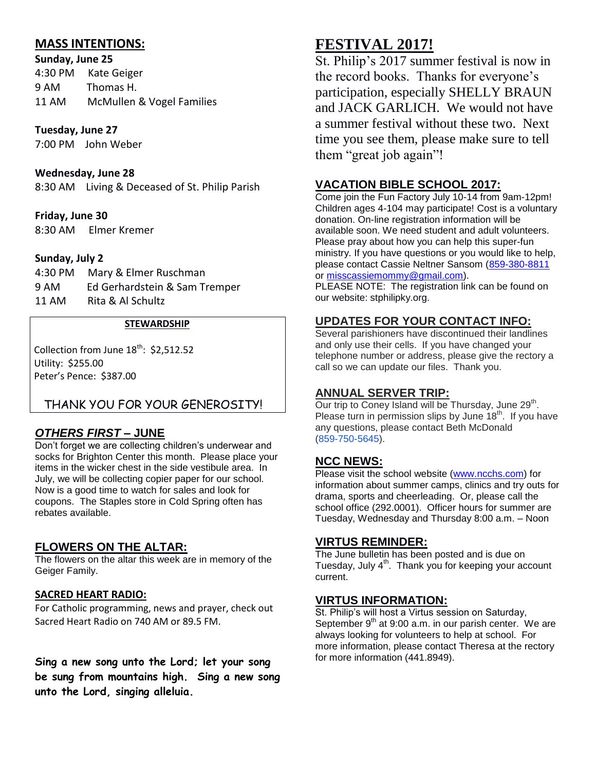# **MASS INTENTIONS:**

**Sunday, June 25**  4:30 PM Kate Geiger 9 AM Thomas H. 11 AM McMullen & Vogel Families

#### **Tuesday, June 27**

7:00 PM John Weber

#### **Wednesday, June 28**

8:30 AM Living & Deceased of St. Philip Parish

#### **Friday, June 30**

8:30 AM Elmer Kremer

#### **Sunday, July 2**

| 4:30 PM | Mary & Elmer Ruschman         |
|---------|-------------------------------|
| 9 AM    | Ed Gerhardstein & Sam Tremper |
| 11 AM   | Rita & Al Schultz             |

#### **STEWARDSHIP**

Collection from June  $18^{th}$ : \$2,512.52 Utility: \$255.00 Peter's Pence: \$387.00

# THANK YOU FOR YOUR GENEROSITY!

# *OTHERS FIRST* **– JUNE**

Don't forget we are collecting children's underwear and socks for Brighton Center this month. Please place your items in the wicker chest in the side vestibule area. In July, we will be collecting copier paper for our school. Now is a good time to watch for sales and look for coupons. The Staples store in Cold Spring often has rebates available.

# **FLOWERS ON THE ALTAR:**

The flowers on the altar this week are in memory of the Geiger Family.

#### **SACRED HEART RADIO:**

For Catholic programming, news and prayer, check out Sacred Heart Radio on 740 AM or 89.5 FM.

**Sing a new song unto the Lord; let your song be sung from mountains high. Sing a new song unto the Lord, singing alleluia.** 

# **FESTIVAL 2017!**

St. Philip's 2017 summer festival is now in the record books. Thanks for everyone's participation, especially SHELLY BRAUN and JACK GARLICH. We would not have a summer festival without these two. Next time you see them, please make sure to tell them "great job again"!

# **VACATION BIBLE SCHOOL 2017:**

Come join the Fun Factory July 10-14 from 9am-12pm! Children ages 4-104 may participate! Cost is a voluntary donation. On-line registration information will be available soon. We need student and adult volunteers. Please pray about how you can help this super-fun ministry. If you have questions or you would like to help, please contact Cassie Neltner Sansom [\(859-380-8811](tel:(859)%20380-8811) or [misscassiemommy@gmail.com\)](mailto:misscassiemommy@gmail.com).

PLEASE NOTE: The registration link can be found on our website: stphilipky.org.

# **UPDATES FOR YOUR CONTACT INFO:**

Several parishioners have discontinued their landlines and only use their cells. If you have changed your telephone number or address, please give the rectory a call so we can update our files. Thank you.

# **ANNUAL SERVER TRIP:**

Our trip to Coney Island will be Thursday, June 29<sup>th</sup>. Please turn in permission slips by June  $18<sup>th</sup>$ . If you have any questions, please contact Beth McDonald [\(859-750-5645\)](tel:(859)%20750-5645).

#### **NCC NEWS:**

Please visit the school website [\(www.ncchs.com\)](http://www.ncchs.com/) for information about summer camps, clinics and try outs for drama, sports and cheerleading. Or, please call the school office (292.0001). Officer hours for summer are Tuesday, Wednesday and Thursday 8:00 a.m. – Noon

#### **VIRTUS REMINDER:**

The June bulletin has been posted and is due on Tuesday, July  $4<sup>th</sup>$ . Thank you for keeping your account current.

#### **VIRTUS INFORMATION:**

St. Philip's will host a Virtus session on Saturday, September  $9<sup>th</sup>$  at 9:00 a.m. in our parish center. We are always looking for volunteers to help at school. For more information, please contact Theresa at the rectory for more information (441.8949).